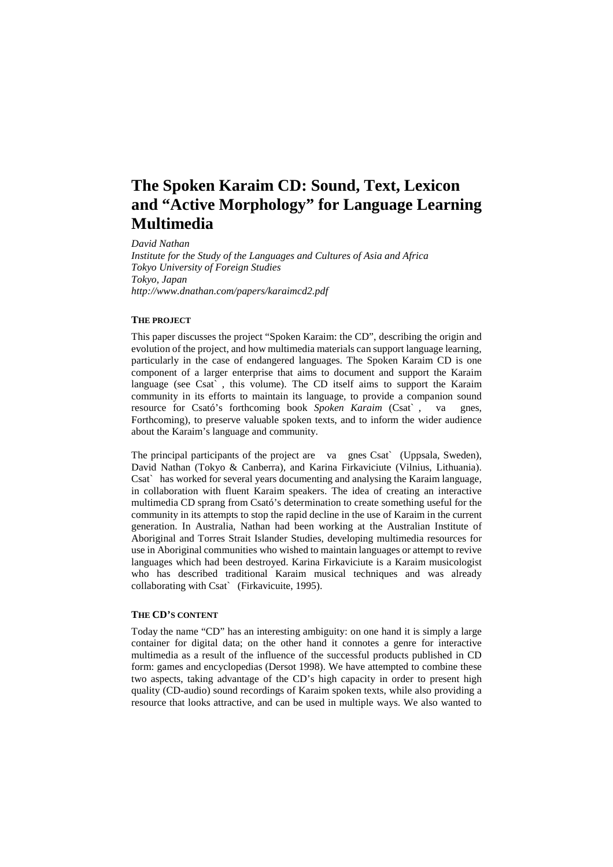# **The Spoken Karaim CD: Sound, Text, Lexicon and "Active Morphology" for Language Learning Multimedia**

*David Nathan Institute for the Study of the Languages and Cultures of Asia and Africa Tokyo University of Foreign Studies Tokyo, Japan http://www.dnathan.com/papers/karaimcd2.pdf*

## **THE PROJECT**

This paper discusses the project "Spoken Karaim: the CD", describing the origin and evolution of the project, and how multimedia materials can support language learning, particularly in the case of endangered languages. The Spoken Karaim CD is one component of a larger enterprise that aims to document and support the Karaim language (see Csat` , this volume). The CD itself aims to support the Karaim community in its efforts to maintain its language, to provide a companion sound resource for Csató's forthcoming book *Spoken Karaim* (Csat` , va gnes, Forthcoming), to preserve valuable spoken texts, and to inform the wider audience about the Karaim's language and community.

The principal participants of the project are va gnes Csat` (Uppsala, Sweden), David Nathan (Tokyo & Canberra), and Karina Firkaviciute (Vilnius, Lithuania). Csat` has worked for several years documenting and analysing the Karaim language, in collaboration with fluent Karaim speakers. The idea of creating an interactive multimedia CD sprang from Csató's determination to create something useful for the community in its attempts to stop the rapid decline in the use of Karaim in the current generation. In Australia, Nathan had been working at the Australian Institute of Aboriginal and Torres Strait Islander Studies, developing multimedia resources for use in Aboriginal communities who wished to maintain languages or attempt to revive languages which had been destroyed. Karina Firkaviciute is a Karaim musicologist who has described traditional Karaim musical techniques and was already collaborating with Csat` (Firkavicuite, 1995).

## **THE CD'S CONTENT**

Today the name "CD" has an interesting ambiguity: on one hand it is simply a large container for digital data; on the other hand it connotes a genre for interactive multimedia as a result of the influence of the successful products published in CD form: games and encyclopedias (Dersot 1998). We have attempted to combine these two aspects, taking advantage of the CD's high capacity in order to present high quality (CD-audio) sound recordings of Karaim spoken texts, while also providing a resource that looks attractive, and can be used in multiple ways. We also wanted to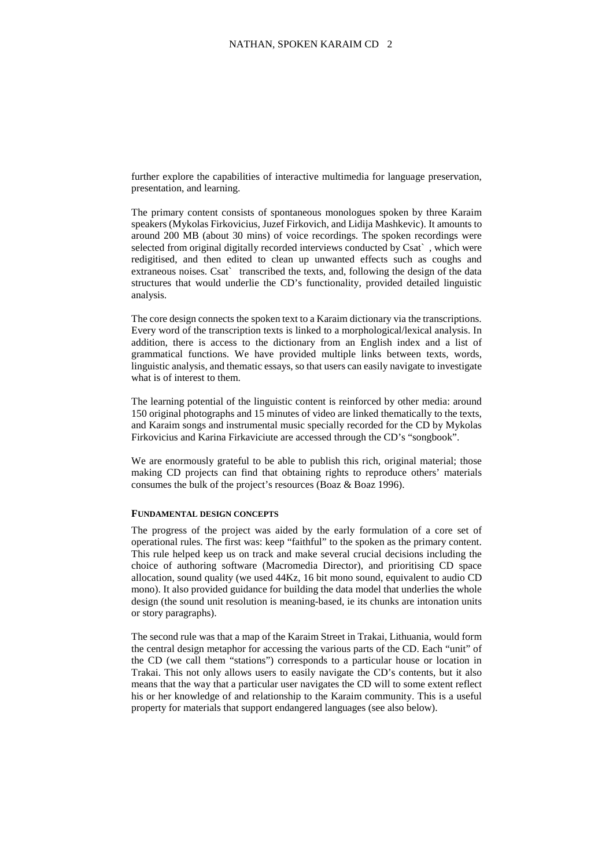further explore the capabilities of interactive multimedia for language preservation, presentation, and learning.

The primary content consists of spontaneous monologues spoken by three Karaim speakers (Mykolas Firkovicius, Juzef Firkovich, and Lidija Mashkevic). It amounts to around 200 MB (about 30 mins) of voice recordings. The spoken recordings were selected from original digitally recorded interviews conducted by Csat` , which were redigitised, and then edited to clean up unwanted effects such as coughs and extraneous noises. Csat` transcribed the texts, and, following the design of the data structures that would underlie the CD's functionality, provided detailed linguistic analysis.

The core design connects the spoken text to a Karaim dictionary via the transcriptions. Every word of the transcription texts is linked to a morphological/lexical analysis. In addition, there is access to the dictionary from an English index and a list of grammatical functions. We have provided multiple links between texts, words, linguistic analysis, and thematic essays, so that users can easily navigate to investigate what is of interest to them.

The learning potential of the linguistic content is reinforced by other media: around 150 original photographs and 15 minutes of video are linked thematically to the texts, and Karaim songs and instrumental music specially recorded for the CD by Mykolas Firkovicius and Karina Firkaviciute are accessed through the CD's "songbook".

We are enormously grateful to be able to publish this rich, original material; those making CD projects can find that obtaining rights to reproduce others' materials consumes the bulk of the project's resources (Boaz & Boaz 1996).

#### **FUNDAMENTAL DESIGN CONCEPTS**

The progress of the project was aided by the early formulation of a core set of operational rules. The first was: keep "faithful" to the spoken as the primary content. This rule helped keep us on track and make several crucial decisions including the choice of authoring software (Macromedia Director), and prioritising CD space allocation, sound quality (we used 44Kz, 16 bit mono sound, equivalent to audio CD mono). It also provided guidance for building the data model that underlies the whole design (the sound unit resolution is meaning-based, ie its chunks are intonation units or story paragraphs).

The second rule was that a map of the Karaim Street in Trakai, Lithuania, would form the central design metaphor for accessing the various parts of the CD. Each "unit" of the CD (we call them "stations") corresponds to a particular house or location in Trakai. This not only allows users to easily navigate the CD's contents, but it also means that the way that a particular user navigates the CD will to some extent reflect his or her knowledge of and relationship to the Karaim community. This is a useful property for materials that support endangered languages (see also below).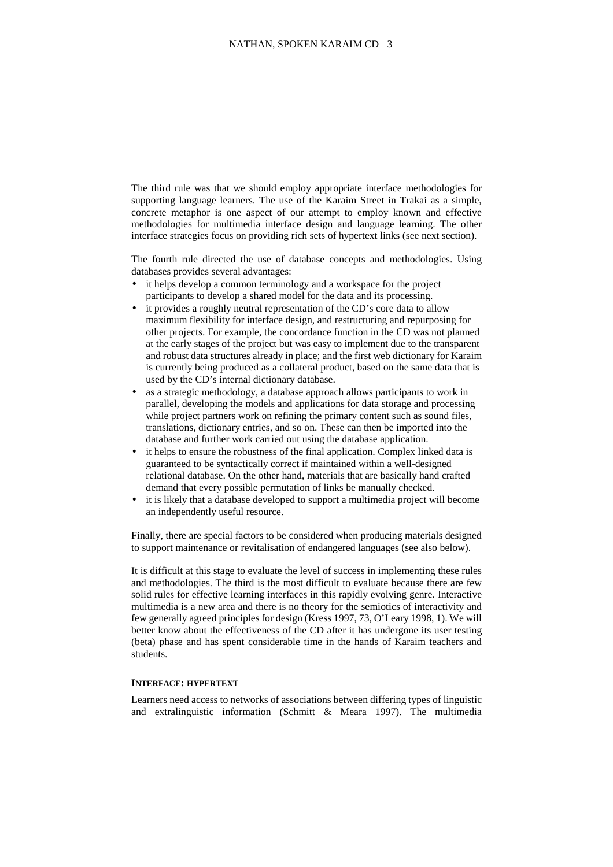The third rule was that we should employ appropriate interface methodologies for supporting language learners. The use of the Karaim Street in Trakai as a simple, concrete metaphor is one aspect of our attempt to employ known and effective methodologies for multimedia interface design and language learning. The other interface strategies focus on providing rich sets of hypertext links (see next section).

The fourth rule directed the use of database concepts and methodologies. Using databases provides several advantages:

- it helps develop a common terminology and a workspace for the project participants to develop a shared model for the data and its processing.
- it provides a roughly neutral representation of the CD's core data to allow maximum flexibility for interface design, and restructuring and repurposing for other projects. For example, the concordance function in the CD was not planned at the early stages of the project but was easy to implement due to the transparent and robust data structures already in place; and the first web dictionary for Karaim is currently being produced as a collateral product, based on the same data that is used by the CD's internal dictionary database.
- as a strategic methodology, a database approach allows participants to work in parallel, developing the models and applications for data storage and processing while project partners work on refining the primary content such as sound files, translations, dictionary entries, and so on. These can then be imported into the database and further work carried out using the database application.
- it helps to ensure the robustness of the final application. Complex linked data is guaranteed to be syntactically correct if maintained within a well-designed relational database. On the other hand, materials that are basically hand crafted demand that every possible permutation of links be manually checked.
- it is likely that a database developed to support a multimedia project will become an independently useful resource.

Finally, there are special factors to be considered when producing materials designed to support maintenance or revitalisation of endangered languages (see also below).

It is difficult at this stage to evaluate the level of success in implementing these rules and methodologies. The third is the most difficult to evaluate because there are few solid rules for effective learning interfaces in this rapidly evolving genre. Interactive multimedia is a new area and there is no theory for the semiotics of interactivity and few generally agreed principles for design (Kress 1997, 73, O'Leary 1998, 1). We will better know about the effectiveness of the CD after it has undergone its user testing (beta) phase and has spent considerable time in the hands of Karaim teachers and students.

# **INTERFACE: HYPERTEXT**

Learners need access to networks of associations between differing types of linguistic and extralinguistic information (Schmitt & Meara 1997). The multimedia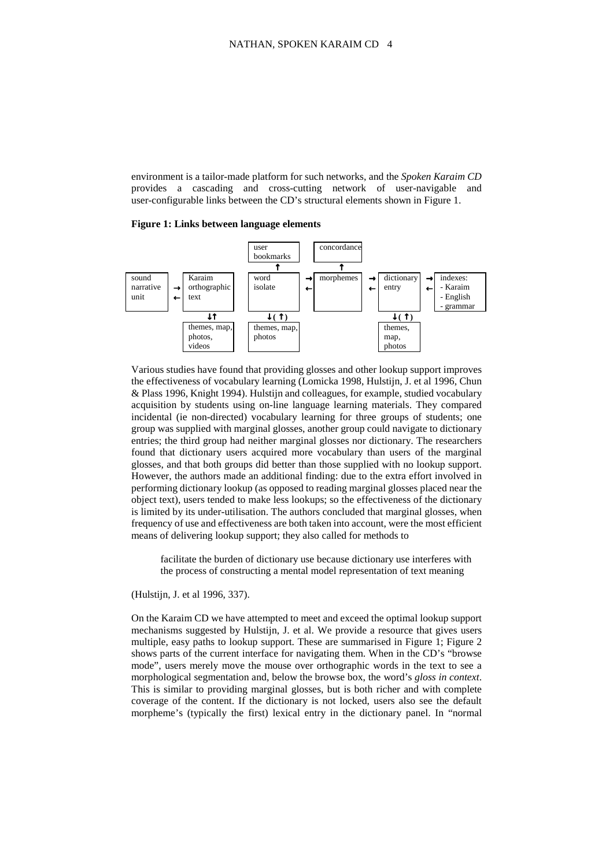environment is a tailor-made platform for such networks, and the *Spoken Karaim CD* provides a cascading and cross-cutting network of user-navigable and user-configurable links between the CD's structural elements shown in Figure 1.

#### **Figure 1: Links between language elements**



Various studies have found that providing glosses and other lookup support improves the effectiveness of vocabulary learning (Lomicka 1998, Hulstijn, J. et al 1996, Chun & Plass 1996, Knight 1994). Hulstijn and colleagues, for example, studied vocabulary acquisition by students using on-line language learning materials. They compared incidental (ie non-directed) vocabulary learning for three groups of students; one group was supplied with marginal glosses, another group could navigate to dictionary entries; the third group had neither marginal glosses nor dictionary. The researchers found that dictionary users acquired more vocabulary than users of the marginal glosses, and that both groups did better than those supplied with no lookup support. However, the authors made an additional finding: due to the extra effort involved in performing dictionary lookup (as opposed to reading marginal glosses placed near the object text), users tended to make less lookups; so the effectiveness of the dictionary is limited by its under-utilisation. The authors concluded that marginal glosses, when frequency of use and effectiveness are both taken into account, were the most efficient means of delivering lookup support; they also called for methods to

facilitate the burden of dictionary use because dictionary use interferes with the process of constructing a mental model representation of text meaning

(Hulstijn, J. et al 1996, 337).

On the Karaim CD we have attempted to meet and exceed the optimal lookup support mechanisms suggested by Hulstijn, J. et al. We provide a resource that gives users multiple, easy paths to lookup support. These are summarised in Figure 1; Figure 2 shows parts of the current interface for navigating them. When in the CD's "browse mode", users merely move the mouse over orthographic words in the text to see a morphological segmentation and, below the browse box, the word's *gloss in context*. This is similar to providing marginal glosses, but is both richer and with complete coverage of the content. If the dictionary is not locked, users also see the default morpheme's (typically the first) lexical entry in the dictionary panel. In "normal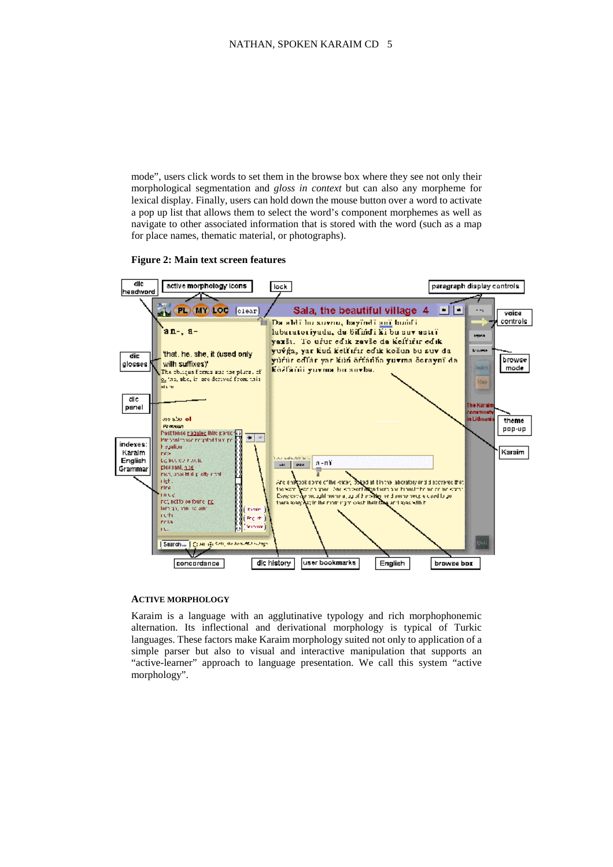mode", users click words to set them in the browse box where they see not only their morphological segmentation and *gloss in context* but can also any morpheme for lexical display. Finally, users can hold down the mouse button over a word to activate a pop up list that allows them to select the word's component morphemes as well as navigate to other associated information that is stored with the word (such as a map for place names, thematic material, or photographs).

#### **Figure 2: Main text screen features**



#### **ACTIVE MORPHOLOGY**

Karaim is a language with an agglutinative typology and rich morphophonemic alternation. Its inflectional and derivational morphology is typical of Turkic languages. These factors make Karaim morphology suited not only to application of a simple parser but also to visual and interactive manipulation that supports an "active-learner" approach to language presentation. We call this system "active morphology".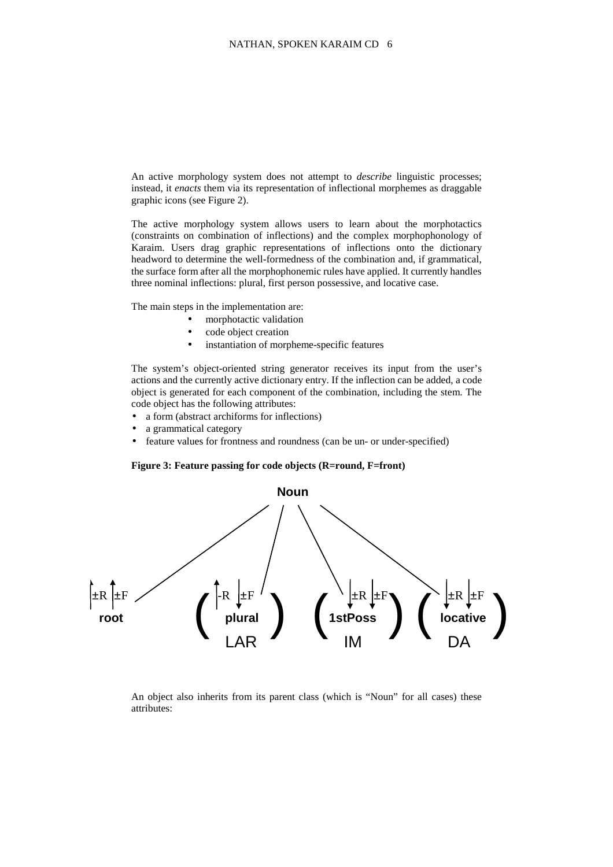An active morphology system does not attempt to *describe* linguistic processes; instead, it *enacts* them via its representation of inflectional morphemes as draggable graphic icons (see Figure 2).

The active morphology system allows users to learn about the morphotactics (constraints on combination of inflections) and the complex morphophonology of Karaim. Users drag graphic representations of inflections onto the dictionary headword to determine the well-formedness of the combination and, if grammatical, the surface form after all the morphophonemic rules have applied. It currently handles three nominal inflections: plural, first person possessive, and locative case.

The main steps in the implementation are:

- morphotactic validation
	- code object creation
- instantiation of morpheme-specific features

The system's object-oriented string generator receives its input from the user's actions and the currently active dictionary entry. If the inflection can be added, a code object is generated for each component of the combination, including the stem. The code object has the following attributes:

- a form (abstract archiforms for inflections)
- a grammatical category
- feature values for frontness and roundness (can be un- or under-specified)

#### **Figure 3: Feature passing for code objects (R=round, F=front)**



An object also inherits from its parent class (which is "Noun" for all cases) these attributes: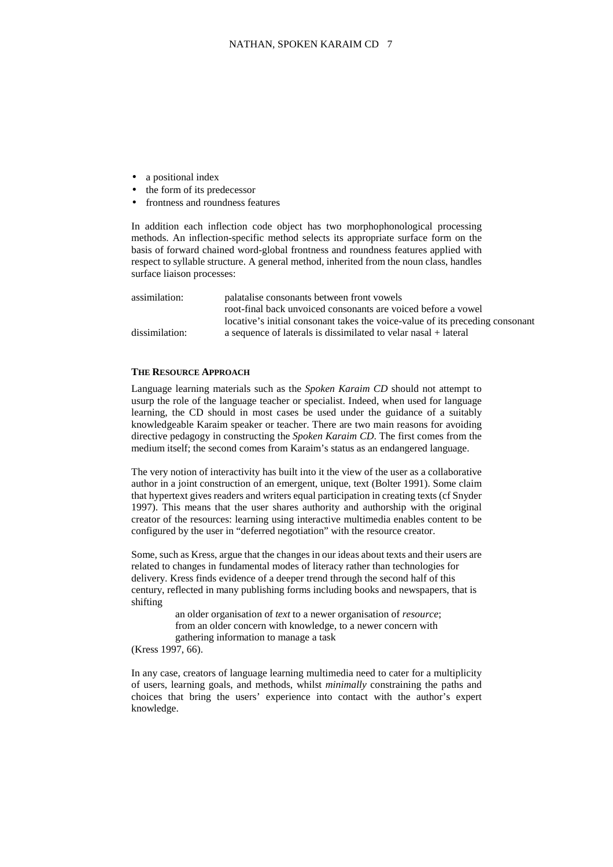- a positional index
- the form of its predecessor
- frontness and roundness features

In addition each inflection code object has two morphophonological processing methods. An inflection-specific method selects its appropriate surface form on the basis of forward chained word-global frontness and roundness features applied with respect to syllable structure. A general method, inherited from the noun class, handles surface liaison processes:

| assimilation:  | palatalise consonants between front vowels                                    |
|----------------|-------------------------------------------------------------------------------|
|                | root-final back unvoiced consonants are voiced before a vowel                 |
|                | locative's initial consonant takes the voice-value of its preceding consonant |
| dissimilation: | a sequence of laterals is dissimilated to velar nasal + lateral               |

#### **THE RESOURCE APPROACH**

Language learning materials such as the *Spoken Karaim CD* should not attempt to usurp the role of the language teacher or specialist. Indeed, when used for language learning, the CD should in most cases be used under the guidance of a suitably knowledgeable Karaim speaker or teacher. There are two main reasons for avoiding directive pedagogy in constructing the *Spoken Karaim CD*. The first comes from the medium itself; the second comes from Karaim's status as an endangered language.

The very notion of interactivity has built into it the view of the user as a collaborative author in a joint construction of an emergent, unique, text (Bolter 1991). Some claim that hypertext gives readers and writers equal participation in creating texts (cf Snyder 1997). This means that the user shares authority and authorship with the original creator of the resources: learning using interactive multimedia enables content to be configured by the user in "deferred negotiation" with the resource creator.

Some, such as Kress, argue that the changes in our ideas about texts and their users are related to changes in fundamental modes of literacy rather than technologies for delivery. Kress finds evidence of a deeper trend through the second half of this century, reflected in many publishing forms including books and newspapers, that is shifting

> an older organisation of *text* to a newer organisation of *resource*; from an older concern with knowledge, to a newer concern with gathering information to manage a task

(Kress 1997, 66).

In any case, creators of language learning multimedia need to cater for a multiplicity of users, learning goals, and methods, whilst *minimally* constraining the paths and choices that bring the users' experience into contact with the author's expert knowledge.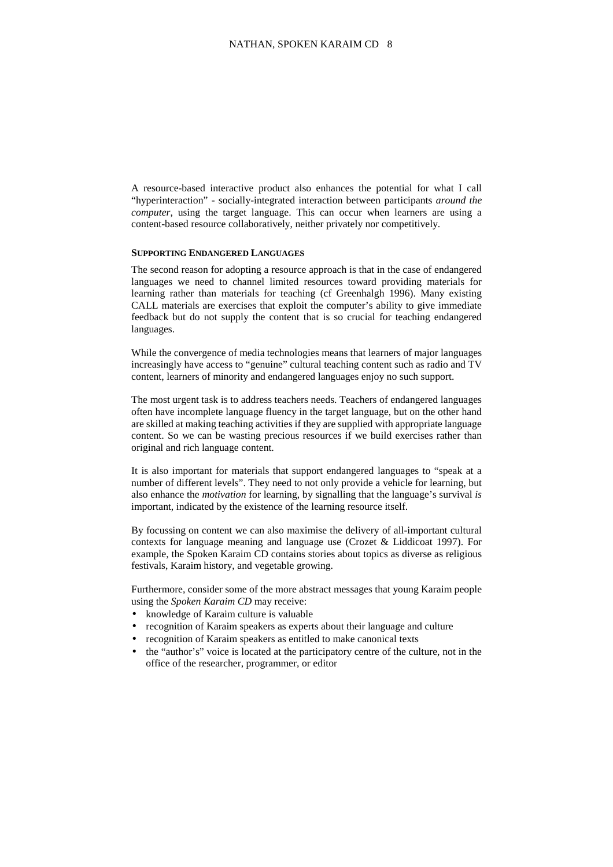A resource-based interactive product also enhances the potential for what I call "hyperinteraction" - socially-integrated interaction between participants *around the computer*, using the target language. This can occur when learners are using a content-based resource collaboratively, neither privately nor competitively.

#### **SUPPORTING ENDANGERED LANGUAGES**

The second reason for adopting a resource approach is that in the case of endangered languages we need to channel limited resources toward providing materials for learning rather than materials for teaching (cf Greenhalgh 1996). Many existing CALL materials are exercises that exploit the computer's ability to give immediate feedback but do not supply the content that is so crucial for teaching endangered languages.

While the convergence of media technologies means that learners of major languages increasingly have access to "genuine" cultural teaching content such as radio and TV content, learners of minority and endangered languages enjoy no such support.

The most urgent task is to address teachers needs. Teachers of endangered languages often have incomplete language fluency in the target language, but on the other hand are skilled at making teaching activities if they are supplied with appropriate language content. So we can be wasting precious resources if we build exercises rather than original and rich language content.

It is also important for materials that support endangered languages to "speak at a number of different levels". They need to not only provide a vehicle for learning, but also enhance the *motivation* for learning, by signalling that the language's survival *is*  important, indicated by the existence of the learning resource itself.

By focussing on content we can also maximise the delivery of all-important cultural contexts for language meaning and language use (Crozet & Liddicoat 1997). For example, the Spoken Karaim CD contains stories about topics as diverse as religious festivals, Karaim history, and vegetable growing.

Furthermore, consider some of the more abstract messages that young Karaim people using the *Spoken Karaim CD* may receive:

- knowledge of Karaim culture is valuable
- recognition of Karaim speakers as experts about their language and culture
- recognition of Karaim speakers as entitled to make canonical texts
- the "author's" voice is located at the participatory centre of the culture, not in the office of the researcher, programmer, or editor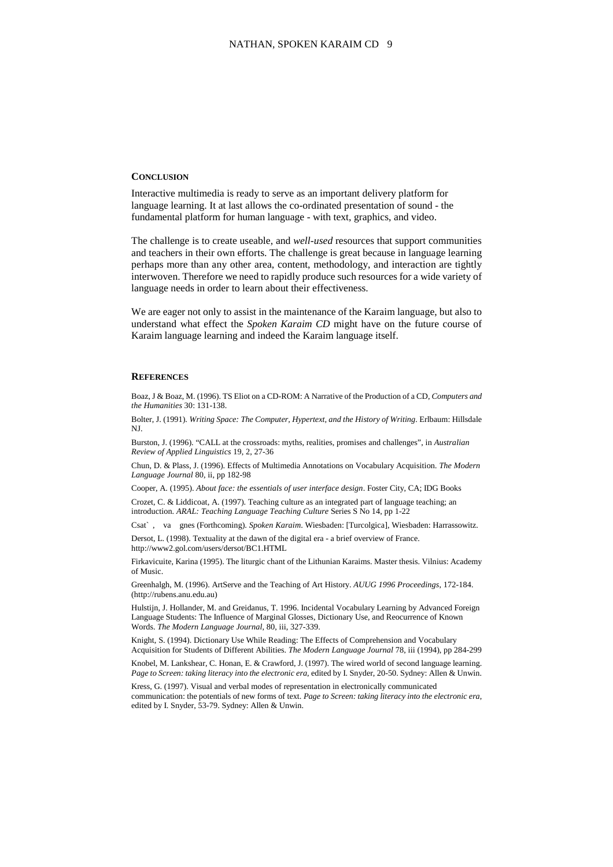# **CONCLUSION**

Interactive multimedia is ready to serve as an important delivery platform for language learning. It at last allows the co-ordinated presentation of sound - the fundamental platform for human language - with text, graphics, and video.

The challenge is to create useable, and *well-used* resources that support communities and teachers in their own efforts. The challenge is great because in language learning perhaps more than any other area, content, methodology, and interaction are tightly interwoven. Therefore we need to rapidly produce such resources for a wide variety of language needs in order to learn about their effectiveness.

We are eager not only to assist in the maintenance of the Karaim language, but also to understand what effect the *Spoken Karaim CD* might have on the future course of Karaim language learning and indeed the Karaim language itself.

# **REFERENCES**

Boaz, J & Boaz, M. (1996). TS Eliot on a CD-ROM: A Narrative of the Production of a CD, *Computers and the Humanities* 30: 131-138.

Bolter, J. (1991). *Writing Space: The Computer, Hypertext, and the History of Writing*. Erlbaum: Hillsdale NJ.

Burston, J. (1996). "CALL at the crossroads: myths, realities, promises and challenges", in *Australian Review of Applied Linguistics* 19, 2, 27-36

Chun, D. & Plass, J. (1996). Effects of Multimedia Annotations on Vocabulary Acquisition*. The Modern Language Journal* 80, ii, pp 182-98

Cooper, A. (1995). *About face: the essentials of user interface design*. Foster City, CA; IDG Books

Crozet, C. & Liddicoat, A. (1997). Teaching culture as an integrated part of language teaching; an introduction. *ARAL: Teaching Language Teaching Culture* Series S No 14, pp 1-22

Csat` , va gnes (Forthcoming). *Spoken Karaim*. Wiesbaden: [Turcolgica], Wiesbaden: Harrassowitz. Dersot, L. (1998). Textuality at the dawn of the digital era - a brief overview of France.

http://www2.gol.com/users/dersot/BC1.HTML

Firkavicuite, Karina (1995). The liturgic chant of the Lithunian Karaims. Master thesis. Vilnius: Academy of Music.

Greenhalgh, M. (1996). ArtServe and the Teaching of Art History. *AUUG 1996 Proceedings*, 172-184. (http://rubens.anu.edu.au)

Hulstijn, J. Hollander, M. and Greidanus, T. 1996. Incidental Vocabulary Learning by Advanced Foreign Language Students: The Influence of Marginal Glosses, Dictionary Use, and Reocurrence of Known Words. *The Modern Language Journal*, 80, iii, 327-339.

Knight, S. (1994). Dictionary Use While Reading: The Effects of Comprehension and Vocabulary Acquisition for Students of Different Abilities. *The Modern Language Journal* 78, iii (1994), pp 284-299

Knobel, M. Lankshear, C. Honan, E. & Crawford, J. (1997). The wired world of second language learning. *Page to Screen: taking literacy into the electronic era*, edited by I. Snyder, 20-50. Sydney: Allen & Unwin.

Kress, G. (1997). Visual and verbal modes of representation in electronically communicated communication: the potentials of new forms of text. *Page to Screen: taking literacy into the electronic era*, edited by I. Snyder, 53-79. Sydney: Allen & Unwin.